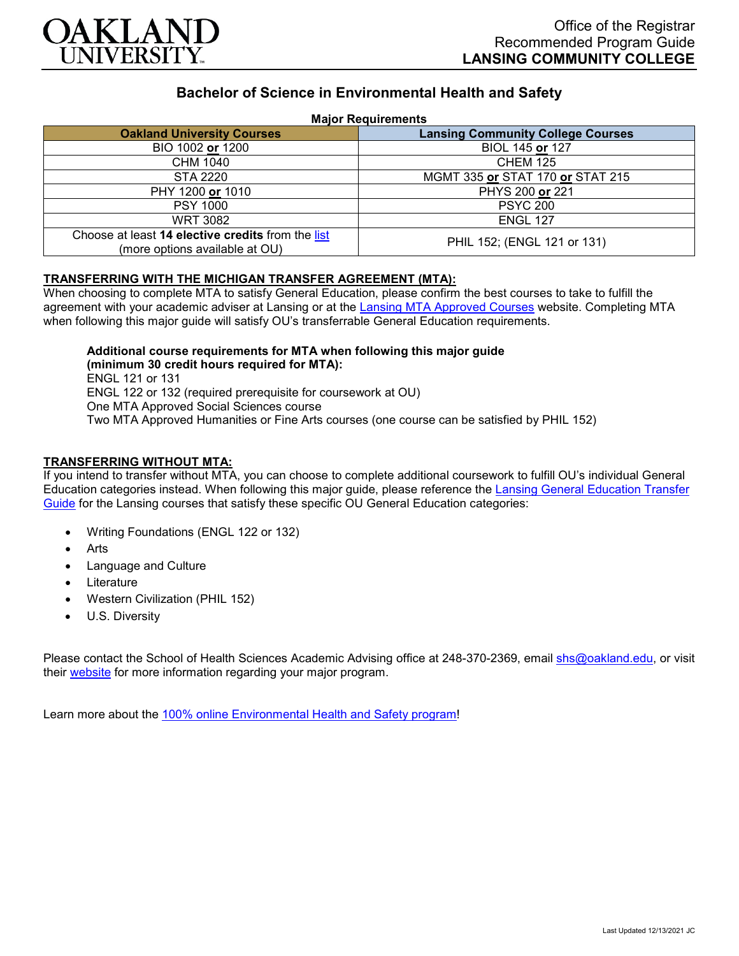

# **Bachelor of Science in Environmental Health and Safety**

### **Major Requirements**

| <b>Oakland University Courses</b>                                                   | <b>Lansing Community College Courses</b> |
|-------------------------------------------------------------------------------------|------------------------------------------|
| BIO 1002 or 1200                                                                    | BIOL 145 or 127                          |
| CHM 1040                                                                            | <b>CHEM 125</b>                          |
| STA 2220                                                                            | MGMT 335 or STAT 170 or STAT 215         |
| PHY 1200 or 1010                                                                    | PHYS 200 or 221                          |
| <b>PSY 1000</b>                                                                     | <b>PSYC 200</b>                          |
| <b>WRT 3082</b>                                                                     | <b>ENGL 127</b>                          |
| Choose at least 14 elective credits from the list<br>(more options available at OU) | PHIL 152; (ENGL 121 or 131)              |

### **TRANSFERRING WITH THE MICHIGAN TRANSFER AGREEMENT (MTA):**

When choosing to complete MTA to satisfy General Education, please confirm the best courses to take to fulfill the agreement with your academic adviser at Lansing or at the [Lansing MTA Approved Courses](https://www.lcc.edu/academics/transfer/mta.html) website. Completing MTA when following this major guide will satisfy OU's transferrable General Education requirements.

**Additional course requirements for MTA when following this major guide (minimum 30 credit hours required for MTA):**

ENGL 121 or 131 ENGL 122 or 132 (required prerequisite for coursework at OU) One MTA Approved Social Sciences course Two MTA Approved Humanities or Fine Arts courses (one course can be satisfied by PHIL 152)

### **TRANSFERRING WITHOUT MTA:**

If you intend to transfer without MTA, you can choose to complete additional coursework to fulfill OU's individual General Education categories instead. When following this major guide, please reference the [Lansing General Education Transfer](https://www.oakland.edu/Assets/Oakland/program-guides/lansing-community-college/university-general-education-requirements/Lansing%20Gen%20Ed.pdf)  [Guide](https://www.oakland.edu/Assets/Oakland/program-guides/lansing-community-college/university-general-education-requirements/Lansing%20Gen%20Ed.pdf) for the Lansing courses that satisfy these specific OU General Education categories:

- Writing Foundations (ENGL 122 or 132)
- **Arts**
- Language and Culture
- **Literature**
- Western Civilization (PHIL 152)
- U.S. Diversity

Please contact the School of Health Sciences Academic Advising office at 248-370-2369, email [shs@oakland.edu,](mailto:shs@oakland.edu) or visit their [website](http://www.oakland.edu/shs/advising) for more information regarding your major program.

Learn more about the [100% online Environmental Health and Safety program!](https://www.oakland.edu/online/undergraduate-degree-programs/ehs/)